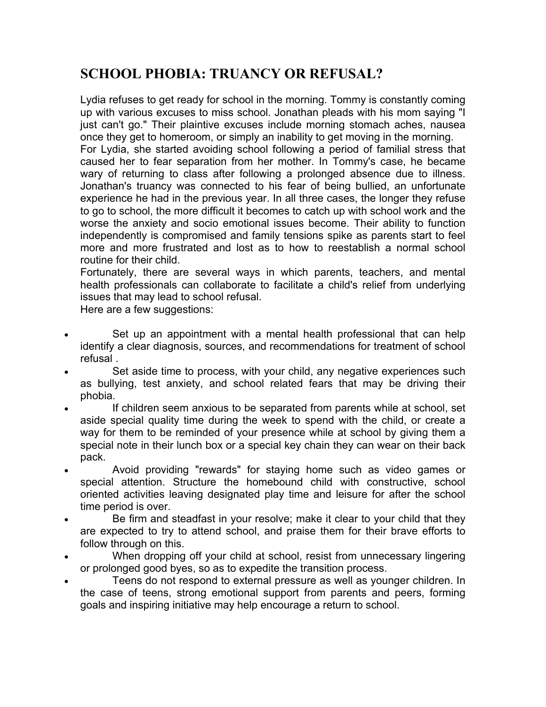## **SCHOOL PHOBIA: TRUANCY OR REFUSAL?**

Lydia refuses to get ready for school in the morning. Tommy is constantly coming up with various excuses to miss school. Jonathan pleads with his mom saying "I just can't go." Their plaintive excuses include morning stomach aches, nausea once they get to homeroom, or simply an inability to get moving in the morning. For Lydia, she started avoiding school following a period of familial stress that caused her to fear separation from her mother. In Tommy's case, he became wary of returning to class after following a prolonged absence due to illness. Jonathan's truancy was connected to his fear of being bullied, an unfortunate experience he had in the previous year. In all three cases, the longer they refuse to go to school, the more difficult it becomes to catch up with school work and the worse the anxiety and socio emotional issues become. Their ability to function independently is compromised and family tensions spike as parents start to feel more and more frustrated and lost as to how to reestablish a normal school routine for their child.

Fortunately, there are several ways in which parents, teachers, and mental health professionals can collaborate to facilitate a child's relief from underlying issues that may lead to school refusal.

Here are a few suggestions:

- Set up an appointment with a mental health professional that can help identify a clear diagnosis, sources, and recommendations for treatment of school refusal .
- Set aside time to process, with your child, any negative experiences such as bullying, test anxiety, and school related fears that may be driving their phobia.
- If children seem anxious to be separated from parents while at school, set aside special quality time during the week to spend with the child, or create a way for them to be reminded of your presence while at school by giving them a special note in their lunch box or a special key chain they can wear on their back pack.
- Avoid providing "rewards" for staying home such as video games or special attention. Structure the homebound child with constructive, school oriented activities leaving designated play time and leisure for after the school time period is over.
- Be firm and steadfast in your resolve; make it clear to your child that they are expected to try to attend school, and praise them for their brave efforts to follow through on this.
- When dropping off your child at school, resist from unnecessary lingering or prolonged good byes, so as to expedite the transition process.
- Teens do not respond to external pressure as well as younger children. In the case of teens, strong emotional support from parents and peers, forming goals and inspiring initiative may help encourage a return to school.